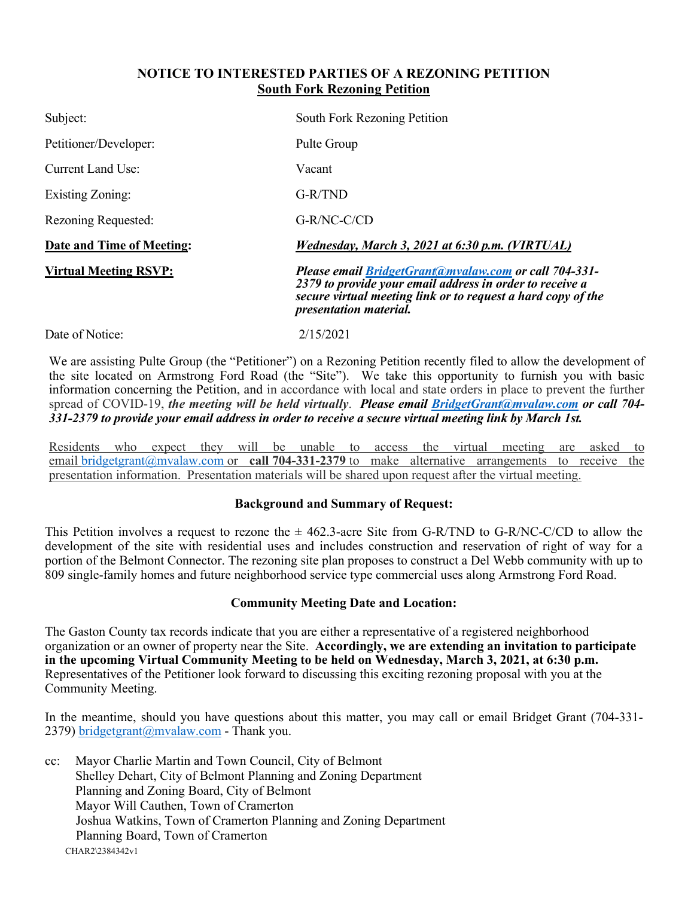## **NOTICE TO INTERESTED PARTIES OF A REZONING PETITION South Fork Rezoning Petition**

| Subject:                     | South Fork Rezoning Petition                                                                                                                                                                                              |
|------------------------------|---------------------------------------------------------------------------------------------------------------------------------------------------------------------------------------------------------------------------|
| Petitioner/Developer:        | Pulte Group                                                                                                                                                                                                               |
| Current Land Use:            | Vacant                                                                                                                                                                                                                    |
| <b>Existing Zoning:</b>      | G-R/TND                                                                                                                                                                                                                   |
| Rezoning Requested:          | G-R/NC-C/CD                                                                                                                                                                                                               |
| Date and Time of Meeting:    | Wednesday, March 3, 2021 at 6:30 p.m. (VIRTUAL)                                                                                                                                                                           |
| <b>Virtual Meeting RSVP:</b> | <b>Please email BridgetGrant@mvalaw.com or call 704-331-</b><br>2379 to provide your email address in order to receive a<br>secure virtual meeting link or to request a hard copy of the<br><i>presentation material.</i> |
| Date of Notice:              | 2/15/2021                                                                                                                                                                                                                 |

We are assisting Pulte Group (the "Petitioner") on a Rezoning Petition recently filed to allow the development of the site located on Armstrong Ford Road (the "Site"). We take this opportunity to furnish you with basic information concerning the Petition, and in accordance with local and state orders in place to prevent the further spread of COVID-19, *the meeting will be held virtually*. *Please email [BridgetGrant@mvalaw.com](mailto:BridgetGrant@mvalaw.com) or call 704- 331-2379 to provide your email address in order to receive a secure virtual meeting link by March 1st.*

Residents who expect they will be unable to access the virtual meeting are asked to email [bridgetgrant@mvalaw.com](mailto:bridgetgrant@mvalaw.com) or **call 704-331-2379** to make alternative arrangements to receive the presentation information. Presentation materials will be shared upon request after the virtual meeting.

## **Background and Summary of Request:**

This Petition involves a request to rezone the  $\pm$  462.3-acre Site from G-R/TND to G-R/NC-C/CD to allow the development of the site with residential uses and includes construction and reservation of right of way for a portion of the Belmont Connector. The rezoning site plan proposes to construct a Del Webb community with up to 809 single-family homes and future neighborhood service type commercial uses along Armstrong Ford Road.

## **Community Meeting Date and Location:**

The Gaston County tax records indicate that you are either a representative of a registered neighborhood organization or an owner of property near the Site. **Accordingly, we are extending an invitation to participate in the upcoming Virtual Community Meeting to be held on Wednesday, March 3, 2021, at 6:30 p.m.** Representatives of the Petitioner look forward to discussing this exciting rezoning proposal with you at the Community Meeting.

In the meantime, should you have questions about this matter, you may call or email Bridget Grant (704-331 2379) [bridgetgrant@mvalaw.com](mailto:bridgetgrant@mvalaw.com) - Thank you.

CHAR2\2384342v1 cc: Mayor Charlie Martin and Town Council, City of Belmont Shelley Dehart, City of Belmont Planning and Zoning Department Planning and Zoning Board, City of Belmont Mayor Will Cauthen, Town of Cramerton Joshua Watkins, Town of Cramerton Planning and Zoning Department Planning Board, Town of Cramerton